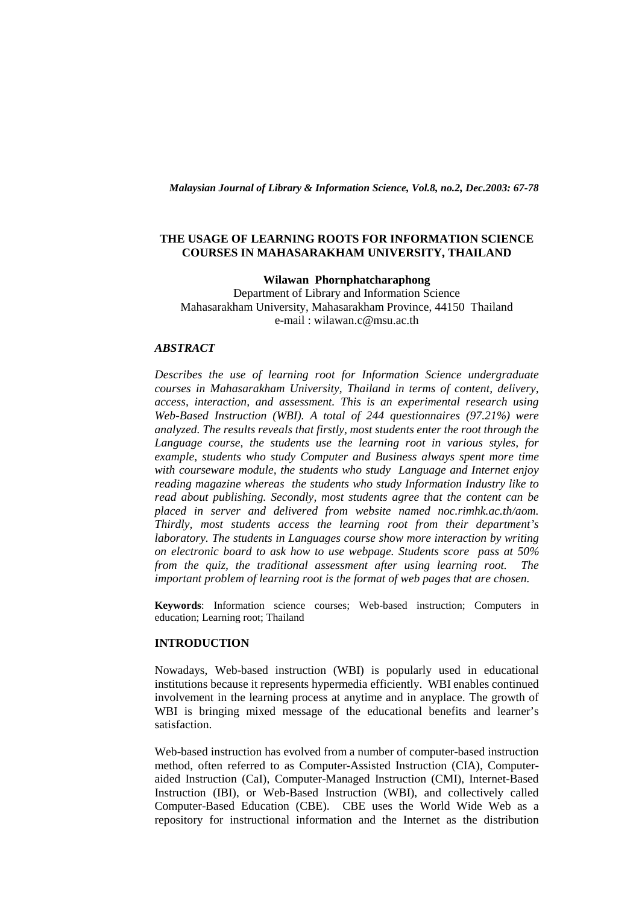*Malaysian Journal of Library & Information Science, Vol.8, no.2, Dec.2003: 67-78* 

## **THE USAGE OF LEARNING ROOTS FOR INFORMATION SCIENCE COURSES IN MAHASARAKHAM UNIVERSITY, THAILAND**

## **Wilawan Phornphatcharaphong**

Department of Library and Information Science Mahasarakham University, Mahasarakham Province, 44150 Thailand e-mail : wilawan.c@msu.ac.th

# *ABSTRACT*

*Describes the use of learning root for Information Science undergraduate courses in Mahasarakham University, Thailand in terms of content, delivery, access, interaction, and assessment. This is an experimental research using Web-Based Instruction (WBI). A total of 244 questionnaires (97.21%) were analyzed. The results reveals that firstly, most students enter the root through the Language course, the students use the learning root in various styles, for example, students who study Computer and Business always spent more time with courseware module, the students who study Language and Internet enjoy reading magazine whereas the students who study Information Industry like to read about publishing. Secondly, most students agree that the content can be placed in server and delivered from website named noc.rimhk.ac.th/aom. Thirdly, most students access the learning root from their department's laboratory. The students in Languages course show more interaction by writing on electronic board to ask how to use webpage. Students score pass at 50% from the quiz, the traditional assessment after using learning root. The important problem of learning root is the format of web pages that are chosen.* 

**Keywords**: Information science courses; Web-based instruction; Computers in education; Learning root; Thailand

## **INTRODUCTION**

Nowadays, Web-based instruction (WBI) is popularly used in educational institutions because it represents hypermedia efficiently. WBI enables continued involvement in the learning process at anytime and in anyplace. The growth of WBI is bringing mixed message of the educational benefits and learner's satisfaction.

Web-based instruction has evolved from a number of computer-based instruction method, often referred to as Computer-Assisted Instruction (CIA), Computeraided Instruction (CaI), Computer-Managed Instruction (CMI), Internet-Based Instruction (IBI), or Web-Based Instruction (WBI), and collectively called Computer-Based Education (CBE). CBE uses the World Wide Web as a repository for instructional information and the Internet as the distribution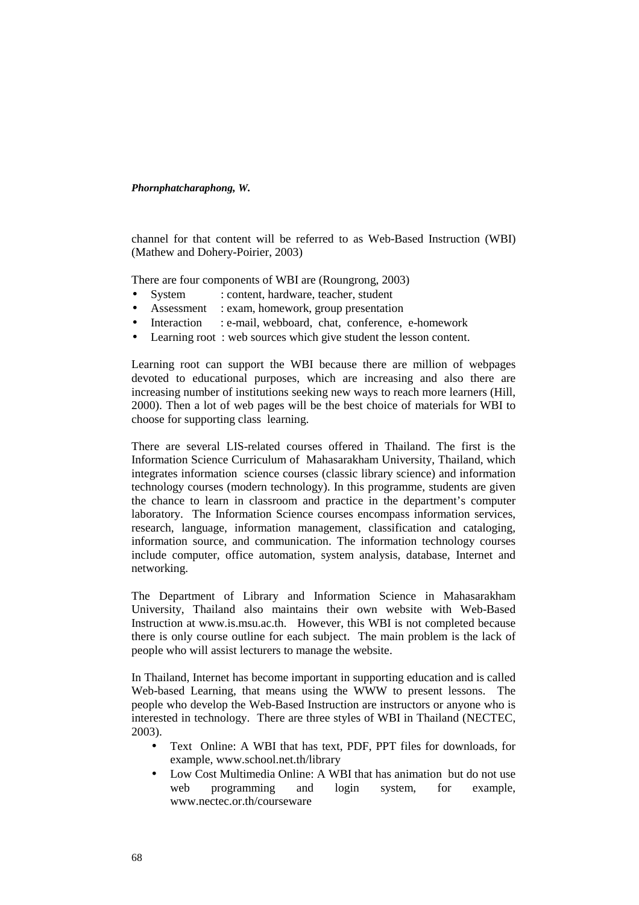channel for that content will be referred to as Web-Based Instruction (WBI) (Mathew and Dohery-Poirier, 2003)

There are four components of WBI are (Roungrong, 2003)

- System : content, hardware, teacher, student
- Assessment : exam, homework, group presentation
- Interaction : e-mail, webboard, chat, conference, e-homework
- Learning root: web sources which give student the lesson content.

Learning root can support the WBI because there are million of webpages devoted to educational purposes, which are increasing and also there are increasing number of institutions seeking new ways to reach more learners (Hill, 2000). Then a lot of web pages will be the best choice of materials for WBI to choose for supporting class learning.

There are several LIS-related courses offered in Thailand. The first is the Information Science Curriculum of Mahasarakham University, Thailand, which integrates information science courses (classic library science) and information technology courses (modern technology). In this programme, students are given the chance to learn in classroom and practice in the department's computer laboratory. The Information Science courses encompass information services, research, language, information management, classification and cataloging, information source, and communication. The information technology courses include computer, office automation, system analysis, database, Internet and networking.

The Department of Library and Information Science in Mahasarakham University, Thailand also maintains their own website with Web-Based Instruction at www.is.msu.ac.th. However, this WBI is not completed because there is only course outline for each subject. The main problem is the lack of people who will assist lecturers to manage the website.

In Thailand, Internet has become important in supporting education and is called Web-based Learning, that means using the WWW to present lessons. The people who develop the Web-Based Instruction are instructors or anyone who is interested in technology. There are three styles of WBI in Thailand (NECTEC, 2003).

- Text Online: A WBI that has text, PDF, PPT files for downloads, for example, www.school.net.th/library
- Low Cost Multimedia Online: A WBI that has animation but do not use web programming and login system, for example, www.nectec.or.th/courseware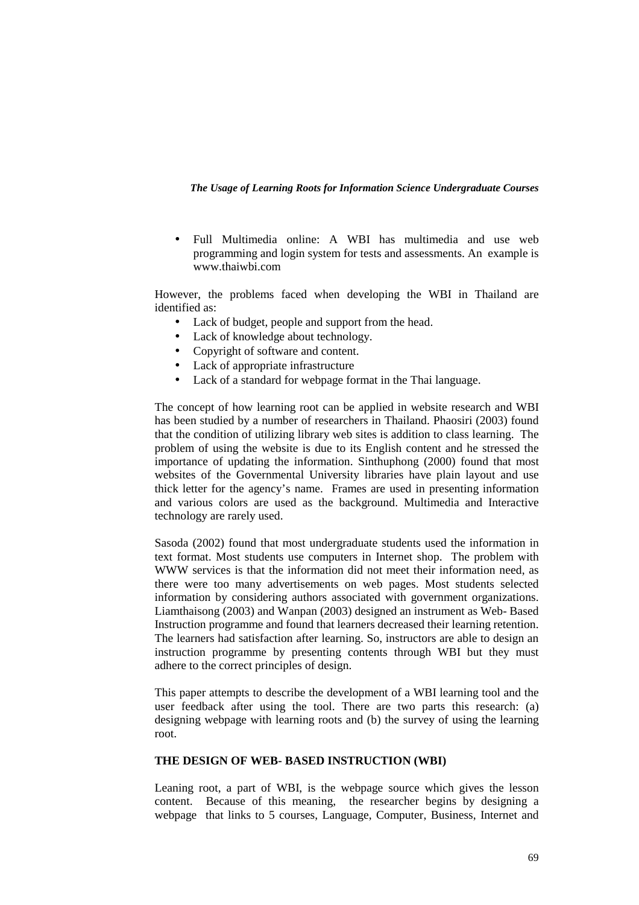• Full Multimedia online: A WBI has multimedia and use web programming and login system for tests and assessments. An example is www.thaiwbi.com

However, the problems faced when developing the WBI in Thailand are identified as:

- Lack of budget, people and support from the head.
- Lack of knowledge about technology.
- Copyright of software and content.
- Lack of appropriate infrastructure
- Lack of a standard for webpage format in the Thai language.

The concept of how learning root can be applied in website research and WBI has been studied by a number of researchers in Thailand. Phaosiri (2003) found that the condition of utilizing library web sites is addition to class learning. The problem of using the website is due to its English content and he stressed the importance of updating the information. Sinthuphong (2000) found that most websites of the Governmental University libraries have plain layout and use thick letter for the agency's name. Frames are used in presenting information and various colors are used as the background. Multimedia and Interactive technology are rarely used.

Sasoda (2002) found that most undergraduate students used the information in text format. Most students use computers in Internet shop. The problem with WWW services is that the information did not meet their information need, as there were too many advertisements on web pages. Most students selected information by considering authors associated with government organizations. Liamthaisong (2003) and Wanpan (2003) designed an instrument as Web- Based Instruction programme and found that learners decreased their learning retention. The learners had satisfaction after learning. So, instructors are able to design an instruction programme by presenting contents through WBI but they must adhere to the correct principles of design.

This paper attempts to describe the development of a WBI learning tool and the user feedback after using the tool. There are two parts this research: (a) designing webpage with learning roots and (b) the survey of using the learning root.

# **THE DESIGN OF WEB- BASED INSTRUCTION (WBI)**

Leaning root, a part of WBI, is the webpage source which gives the lesson content. Because of this meaning, the researcher begins by designing a webpage that links to 5 courses, Language, Computer, Business, Internet and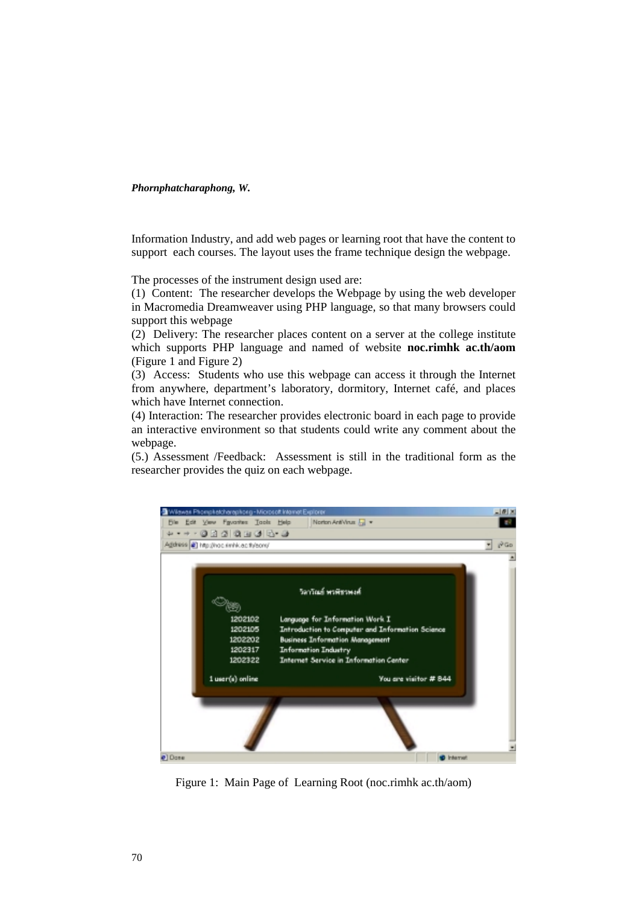Information Industry, and add web pages or learning root that have the content to support each courses. The layout uses the frame technique design the webpage.

The processes of the instrument design used are:

(1) Content: The researcher develops the Webpage by using the web developer in Macromedia Dreamweaver using PHP language, so that many browsers could support this webpage

(2) Delivery: The researcher places content on a server at the college institute which supports PHP language and named of website **noc.rimhk ac.th/aom**  (Figure 1 and Figure 2)

(3) Access: Students who use this webpage can access it through the Internet from anywhere, department's laboratory, dormitory, Internet café, and places which have Internet connection.

(4) Interaction: The researcher provides electronic board in each page to provide an interactive environment so that students could write any comment about the webpage.

(5.) Assessment /Feedback: Assessment is still in the traditional form as the researcher provides the quiz on each webpage.



Figure 1: Main Page of Learning Root (noc.rimhk ac.th/aom)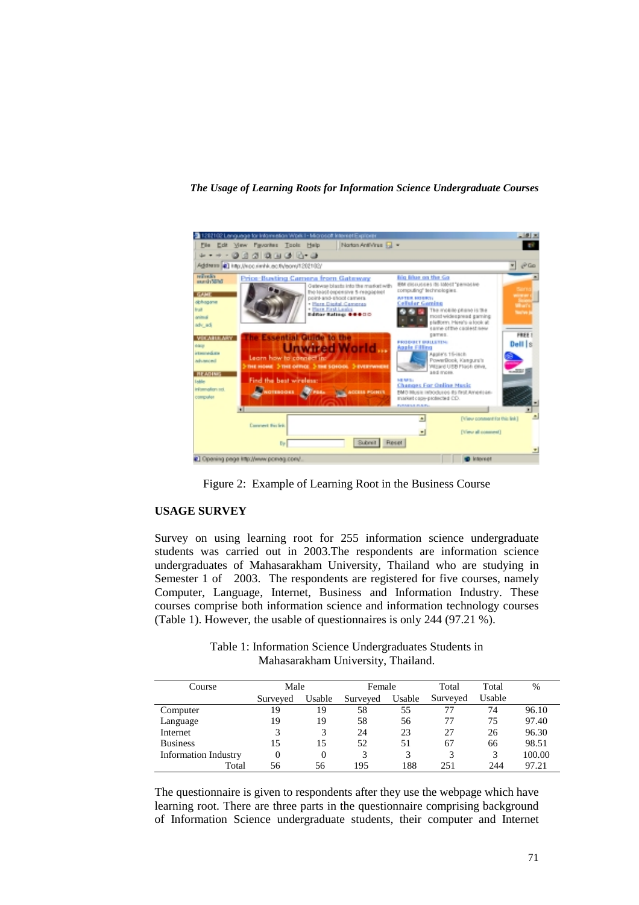

Figure 2: Example of Learning Root in the Business Course

## **USAGE SURVEY**

Survey on using learning root for 255 information science undergraduate students was carried out in 2003.The respondents are information science undergraduates of Mahasarakham University, Thailand who are studying in Semester 1 of 2003. The respondents are registered for five courses, namely Computer, Language, Internet, Business and Information Industry. These courses comprise both information science and information technology courses (Table 1). However, the usable of questionnaires is only 244 (97.21 %).

> Table 1: Information Science Undergraduates Students in Mahasarakham University, Thailand.

| Course                      | Male     |        | Female   |              | Total    | Total  | $\%$   |
|-----------------------------|----------|--------|----------|--------------|----------|--------|--------|
|                             | Surveyed | Usable | Surveyed | Usable       | Surveyed | Usable |        |
| Computer                    | 19       | 19     | 58       | 55           | 77       | 74     | 96.10  |
| Language                    | 19       | 19     | 58       | 56           | 77       | 75     | 97.40  |
| Internet                    |          | 3      | 24       | 23           | 27       | 26     | 96.30  |
| <b>Business</b>             | 15       | 15     | 52       | 51           | 67       | 66     | 98.51  |
| <b>Information Industry</b> | $\Omega$ | 0      | 3        | $\mathbf{z}$ | 3        | 3      | 100.00 |
| Total                       | 56       | 56     | 195      | 188          | 251      | 244    | 97.21  |

The questionnaire is given to respondents after they use the webpage which have learning root. There are three parts in the questionnaire comprising background of Information Science undergraduate students, their computer and Internet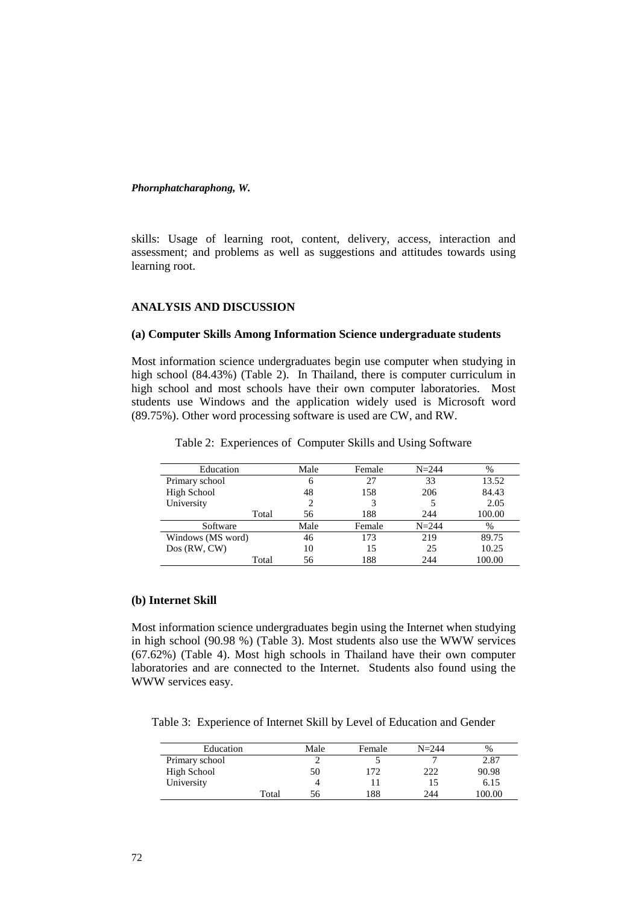skills: Usage of learning root, content, delivery, access, interaction and assessment; and problems as well as suggestions and attitudes towards using learning root.

# **ANALYSIS AND DISCUSSION**

## **(a) Computer Skills Among Information Science undergraduate students**

Most information science undergraduates begin use computer when studying in high school (84.43%) (Table 2). In Thailand, there is computer curriculum in high school and most schools have their own computer laboratories. Most students use Windows and the application widely used is Microsoft word (89.75%). Other word processing software is used are CW, and RW.

| Education         | Male | Female | $N = 244$ | $\%$   |
|-------------------|------|--------|-----------|--------|
| Primary school    | 6    | 27     | 33        | 13.52  |
| High School       | 48   | 158    | 206       | 84.43  |
| University        | 2    | 3      |           | 2.05   |
| Total             | 56   | 188    | 244       | 100.00 |
| Software          | Male | Female | $N = 244$ | %      |
| Windows (MS word) | 46   | 173    | 219       | 89.75  |
| Dos(RW, CW)       | 10   | 15     | 25        | 10.25  |
| Total             | 56   | 188    | 244       | 100.00 |

Table 2: Experiences of Computer Skills and Using Software

#### **(b) Internet Skill**

Most information science undergraduates begin using the Internet when studying in high school (90.98 %) (Table 3). Most students also use the WWW services (67.62%) (Table 4). Most high schools in Thailand have their own computer laboratories and are connected to the Internet. Students also found using the WWW services easy.

Table 3: Experience of Internet Skill by Level of Education and Gender

| Education      |       | Male | Female | $N = 244$ | %      |
|----------------|-------|------|--------|-----------|--------|
| Primary school |       |      |        |           | 2.87   |
| High School    |       | 50   | 172    | 222       | 90.98  |
| University     |       |      |        |           | 6.15   |
|                | Total | 56   | 188    | 244       | 100.00 |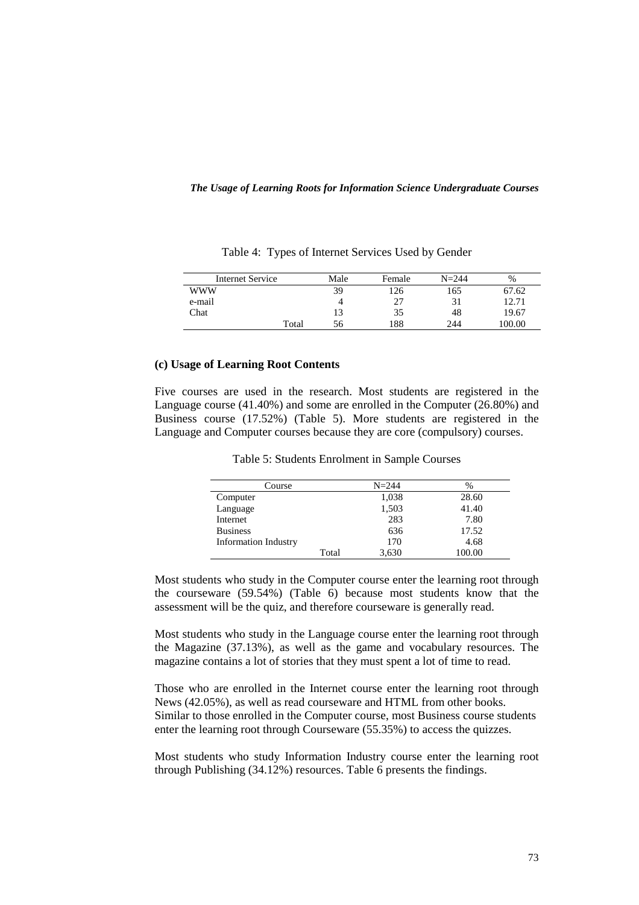| <b>Internet Service</b> | Male | Female | $N = 244$ | $\%$   |
|-------------------------|------|--------|-----------|--------|
| www                     | 39   | 126    | 165       | 67.62  |
| e-mail                  |      |        |           | 12.71  |
| Chat                    | 13   | 35     | 48        | 19.67  |
| Total                   | 56   | 188    | 244       | 100.00 |

Table 4: Types of Internet Services Used by Gender

#### **(c) Usage of Learning Root Contents**

Five courses are used in the research. Most students are registered in the Language course (41.40%) and some are enrolled in the Computer (26.80%) and Business course (17.52%) (Table 5). More students are registered in the Language and Computer courses because they are core (compulsory) courses.

|  |  | Table 5: Students Enrolment in Sample Courses |
|--|--|-----------------------------------------------|
|--|--|-----------------------------------------------|

| Course                      |       | $N = 244$ | %      |
|-----------------------------|-------|-----------|--------|
| Computer                    |       | 1,038     | 28.60  |
| Language                    |       | 1,503     | 41.40  |
| Internet                    |       | 283       | 7.80   |
| <b>Business</b>             |       | 636       | 17.52  |
| <b>Information Industry</b> |       | 170       | 4.68   |
|                             | Total | 3,630     | 100.00 |

Most students who study in the Computer course enter the learning root through the courseware (59.54%) (Table 6) because most students know that the assessment will be the quiz, and therefore courseware is generally read.

Most students who study in the Language course enter the learning root through the Magazine (37.13%), as well as the game and vocabulary resources. The magazine contains a lot of stories that they must spent a lot of time to read.

Those who are enrolled in the Internet course enter the learning root through News (42.05%), as well as read courseware and HTML from other books. Similar to those enrolled in the Computer course, most Business course students enter the learning root through Courseware (55.35%) to access the quizzes.

Most students who study Information Industry course enter the learning root through Publishing (34.12%) resources. Table 6 presents the findings.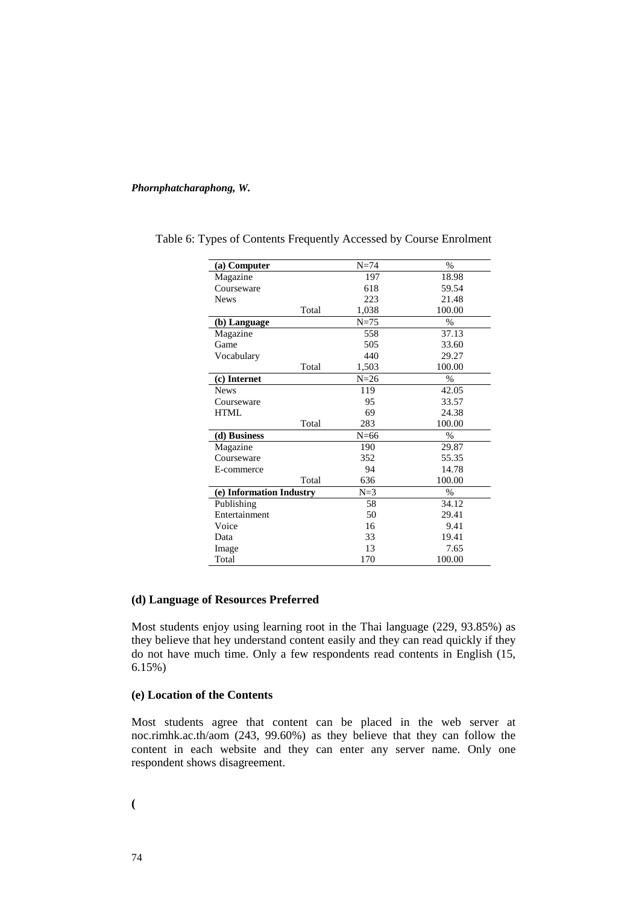| (a) Computer             |       | $N=74$ | $\%$          |
|--------------------------|-------|--------|---------------|
| Magazine                 |       | 197    | 18.98         |
| Courseware               |       | 618    | 59.54         |
| <b>News</b>              |       | 223    | 21.48         |
|                          | Total | 1,038  | 100.00        |
| (b) Language             |       | $N=75$ | $\%$          |
| Magazine                 |       | 558    | 37.13         |
| Game                     |       | 505    | 33.60         |
| Vocabulary               |       | 440    | 29.27         |
|                          | Total | 1,503  | 100.00        |
| (c) Internet             |       | $N=26$ | $\%$          |
| <b>News</b>              |       | 119    | 42.05         |
| Courseware               |       | 95     | 33.57         |
| <b>HTML</b>              |       | 69     | 24.38         |
|                          | Total | 283    | 100.00        |
| (d) Business             |       | $N=66$ | %             |
| Magazine                 |       | 190    | 29.87         |
| Courseware               |       | 352    | 55.35         |
| E-commerce               |       | 94     | 14.78         |
|                          | Total | 636    | 100.00        |
| (e) Information Industry |       | $N=3$  | $\frac{0}{0}$ |
| Publishing               |       | 58     | 34.12         |
| Entertainment            |       | 50     | 29.41         |
| Voice                    |       | 16     | 9.41          |
| Data                     |       | 33     | 19.41         |
| Image                    |       | 13     | 7.65          |
| Total                    |       | 170    | 100.00        |

Table 6: Types of Contents Frequently Accessed by Course Enrolment

## **(d) Language of Resources Preferred**

Most students enjoy using learning root in the Thai language (229, 93.85%) as they believe that hey understand content easily and they can read quickly if they do not have much time. Only a few respondents read contents in English (15, 6.15%)

## **(e) Location of the Contents**

Most students agree that content can be placed in the web server at noc.rimhk.ac.th/aom (243, 99.60%) as they believe that they can follow the content in each website and they can enter any server name. Only one respondent shows disagreement.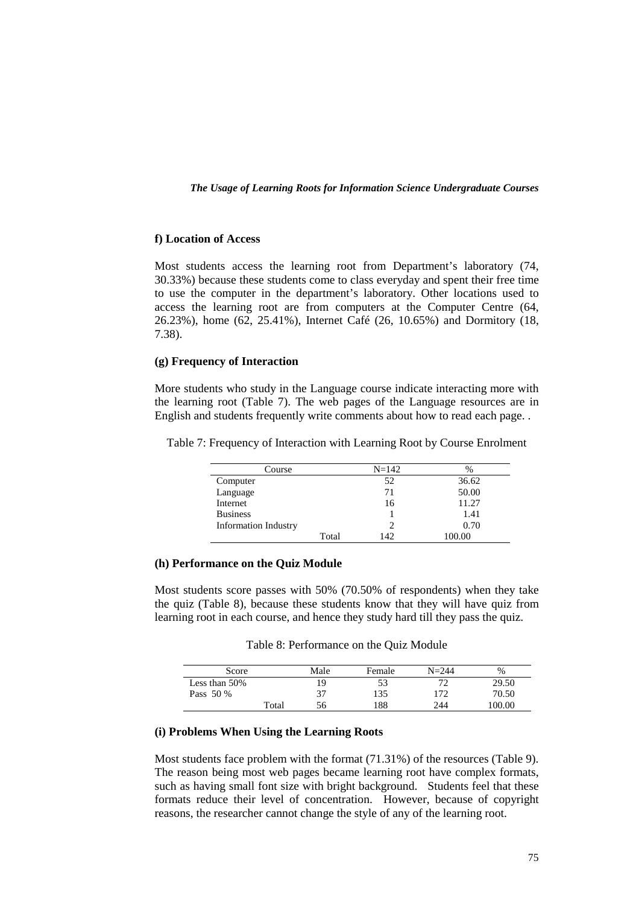#### **f) Location of Access**

Most students access the learning root from Department's laboratory (74, 30.33%) because these students come to class everyday and spent their free time to use the computer in the department's laboratory. Other locations used to access the learning root are from computers at the Computer Centre (64, 26.23%), home (62, 25.41%), Internet Café (26, 10.65%) and Dormitory (18, 7.38).

## **(g) Frequency of Interaction**

More students who study in the Language course indicate interacting more with the learning root (Table 7). The web pages of the Language resources are in English and students frequently write comments about how to read each page. .

| Course                      | $N = 142$      | $\%$   |
|-----------------------------|----------------|--------|
| Computer                    | 52             | 36.62  |
| Language                    | 71             | 50.00  |
| Internet                    | 16             | 11.27  |
| <b>Business</b>             |                | 1.41   |
| <b>Information Industry</b> | $\overline{c}$ | 0.70   |
| Total                       | 142            | 100.00 |

Table 7: Frequency of Interaction with Learning Root by Course Enrolment

#### **(h) Performance on the Quiz Module**

Most students score passes with 50% (70.50% of respondents) when they take the quiz (Table 8), because these students know that they will have quiz from learning root in each course, and hence they study hard till they pass the quiz.

Table 8: Performance on the Quiz Module

| Score            |       | Male | Female | $N = 244$ | %      |
|------------------|-------|------|--------|-----------|--------|
| Less than $50\%$ |       | 19   |        | 77        | 29.50  |
| Pass 50 %        |       | 37   | 135    | 172       | 70.50  |
|                  | Total | 56   | 188    | 244       | 100.00 |

## **(i) Problems When Using the Learning Roots**

Most students face problem with the format (71.31%) of the resources (Table 9). The reason being most web pages became learning root have complex formats, such as having small font size with bright background. Students feel that these formats reduce their level of concentration. However, because of copyright reasons, the researcher cannot change the style of any of the learning root.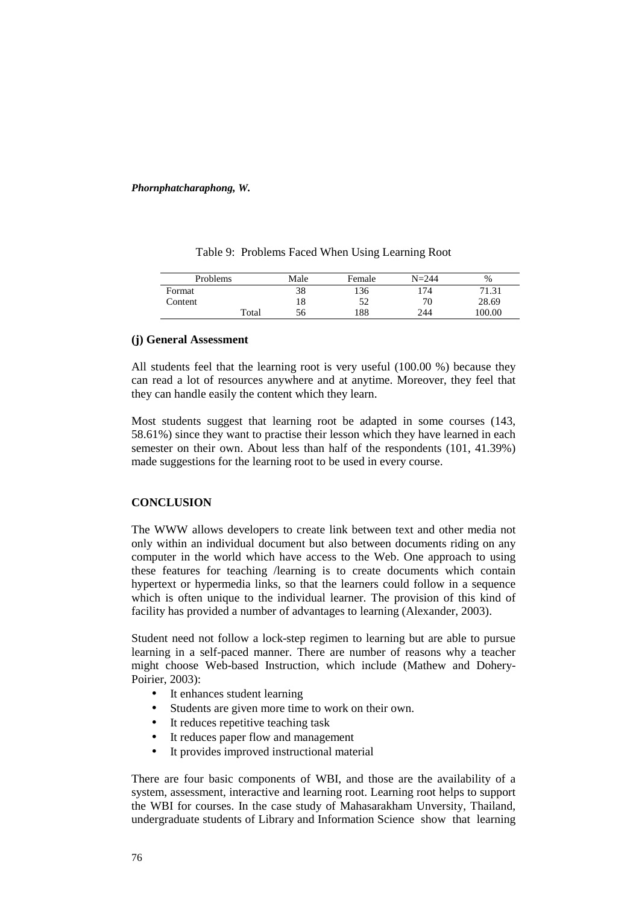| <b>Problems</b> |       | Male | Female | $N = 244$ | %      |
|-----------------|-------|------|--------|-----------|--------|
| Format          |       | 38   | 136    | 174       | 71.31  |
| Content         |       | 18   | 52     | 70        | 28.69  |
|                 | Total | 56   | 188    | 244       | 100.00 |

Table 9: Problems Faced When Using Learning Root

## **(j) General Assessment**

All students feel that the learning root is very useful (100.00 %) because they can read a lot of resources anywhere and at anytime. Moreover, they feel that they can handle easily the content which they learn.

Most students suggest that learning root be adapted in some courses (143, 58.61%) since they want to practise their lesson which they have learned in each semester on their own. About less than half of the respondents (101, 41.39%) made suggestions for the learning root to be used in every course.

# **CONCLUSION**

The WWW allows developers to create link between text and other media not only within an individual document but also between documents riding on any computer in the world which have access to the Web. One approach to using these features for teaching /learning is to create documents which contain hypertext or hypermedia links, so that the learners could follow in a sequence which is often unique to the individual learner. The provision of this kind of facility has provided a number of advantages to learning (Alexander, 2003).

Student need not follow a lock-step regimen to learning but are able to pursue learning in a self-paced manner. There are number of reasons why a teacher might choose Web-based Instruction, which include (Mathew and Dohery-Poirier, 2003):

- It enhances student learning
- Students are given more time to work on their own.
- It reduces repetitive teaching task
- It reduces paper flow and management
- It provides improved instructional material

There are four basic components of WBI, and those are the availability of a system, assessment, interactive and learning root. Learning root helps to support the WBI for courses. In the case study of Mahasarakham Unversity, Thailand, undergraduate students of Library and Information Science show that learning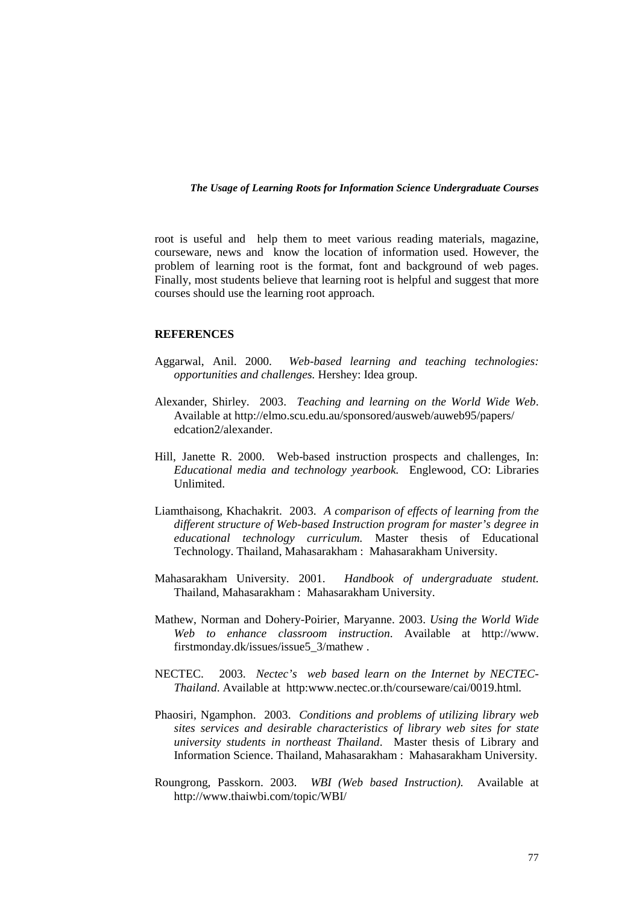root is useful and help them to meet various reading materials, magazine, courseware, news and know the location of information used. However, the problem of learning root is the format, font and background of web pages. Finally, most students believe that learning root is helpful and suggest that more courses should use the learning root approach.

## **REFERENCES**

- Aggarwal, Anil. 2000. *Web-based learning and teaching technologies: opportunities and challenges.* Hershey: Idea group.
- Alexander, Shirley. 2003. *Teaching and learning on the World Wide Web*. Available at http://elmo.scu.edu.au/sponsored/ausweb/auweb95/papers/ edcation2/alexander.
- Hill, Janette R. 2000. Web-based instruction prospects and challenges, In: *Educational media and technology yearbook.* Englewood, CO: Libraries Unlimited.
- Liamthaisong, Khachakrit. 2003. *A comparison of effects of learning from the different structure of Web-based Instruction program for master's degree in educational technology curriculum.* Master thesis of Educational Technology. Thailand, Mahasarakham : Mahasarakham University.
- Mahasarakham University. 2001. *Handbook of undergraduate student.* Thailand, Mahasarakham : Mahasarakham University.
- Mathew, Norman and Dohery-Poirier, Maryanne. 2003. *Using the World Wide Web to enhance classroom instruction*. Available at http://www. firstmonday.dk/issues/issue5\_3/mathew .
- NECTEC. 2003. *Nectec's web based learn on the Internet by NECTEC-Thailand*. Available at http:www.nectec.or.th/courseware/cai/0019.html*.*
- Phaosiri, Ngamphon. 2003. *Conditions and problems of utilizing library web sites services and desirable characteristics of library web sites for state university students in northeast Thailand*. Master thesis of Library and Information Science. Thailand, Mahasarakham : Mahasarakham University.
- Roungrong, Passkorn. 2003. *WBI (Web based Instruction).* Available at http://www.thaiwbi.com/topic/WBI/